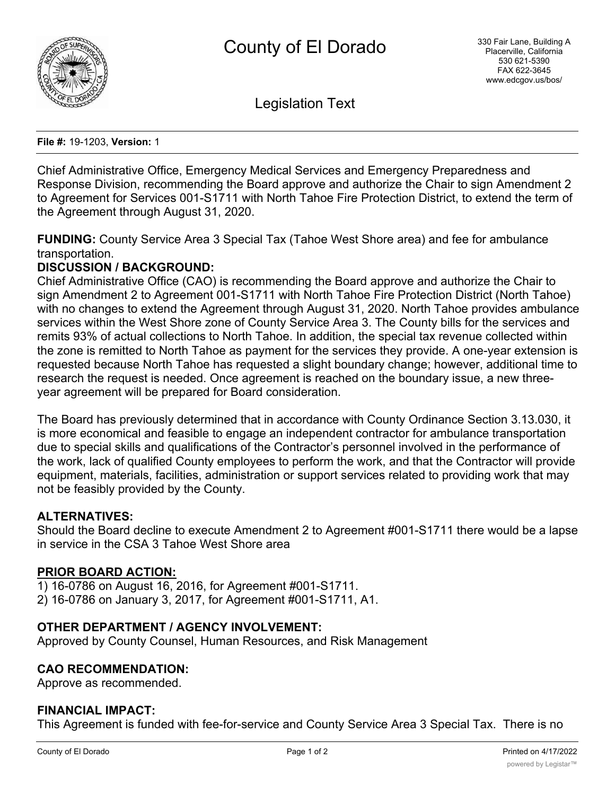

Legislation Text

**File #:** 19-1203, **Version:** 1

Chief Administrative Office, Emergency Medical Services and Emergency Preparedness and Response Division, recommending the Board approve and authorize the Chair to sign Amendment 2 to Agreement for Services 001-S1711 with North Tahoe Fire Protection District, to extend the term of the Agreement through August 31, 2020.

**FUNDING:** County Service Area 3 Special Tax (Tahoe West Shore area) and fee for ambulance transportation.

## **DISCUSSION / BACKGROUND:**

Chief Administrative Office (CAO) is recommending the Board approve and authorize the Chair to sign Amendment 2 to Agreement 001-S1711 with North Tahoe Fire Protection District (North Tahoe) with no changes to extend the Agreement through August 31, 2020. North Tahoe provides ambulance services within the West Shore zone of County Service Area 3. The County bills for the services and remits 93% of actual collections to North Tahoe. In addition, the special tax revenue collected within the zone is remitted to North Tahoe as payment for the services they provide. A one-year extension is requested because North Tahoe has requested a slight boundary change; however, additional time to research the request is needed. Once agreement is reached on the boundary issue, a new threeyear agreement will be prepared for Board consideration.

The Board has previously determined that in accordance with County Ordinance Section 3.13.030, it is more economical and feasible to engage an independent contractor for ambulance transportation due to special skills and qualifications of the Contractor's personnel involved in the performance of the work, lack of qualified County employees to perform the work, and that the Contractor will provide equipment, materials, facilities, administration or support services related to providing work that may not be feasibly provided by the County.

#### **ALTERNATIVES:**

Should the Board decline to execute Amendment 2 to Agreement #001-S1711 there would be a lapse in service in the CSA 3 Tahoe West Shore area

## **PRIOR BOARD ACTION:**

1) 16-0786 on August 16, 2016, for Agreement #001-S1711. 2) 16-0786 on January 3, 2017, for Agreement #001-S1711, A1.

## **OTHER DEPARTMENT / AGENCY INVOLVEMENT:**

Approved by County Counsel, Human Resources, and Risk Management

#### **CAO RECOMMENDATION:**

Approve as recommended.

#### **FINANCIAL IMPACT:**

This Agreement is funded with fee-for-service and County Service Area 3 Special Tax. There is no